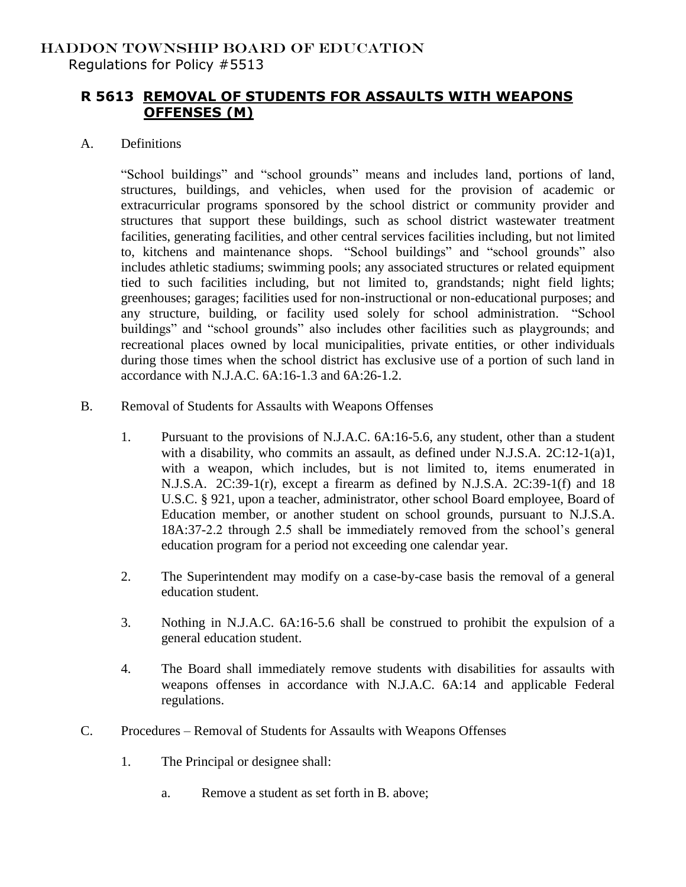## HADDON TOWNSHIP BOARD OF EDUCATION Regulations for Policy #5513

## **R 5613 REMOVAL OF STUDENTS FOR ASSAULTS WITH WEAPONS OFFENSES (M)**

## A. Definitions

"School buildings" and "school grounds" means and includes land, portions of land, structures, buildings, and vehicles, when used for the provision of academic or extracurricular programs sponsored by the school district or community provider and structures that support these buildings, such as school district wastewater treatment facilities, generating facilities, and other central services facilities including, but not limited to, kitchens and maintenance shops. "School buildings" and "school grounds" also includes athletic stadiums; swimming pools; any associated structures or related equipment tied to such facilities including, but not limited to, grandstands; night field lights; greenhouses; garages; facilities used for non-instructional or non-educational purposes; and any structure, building, or facility used solely for school administration. "School buildings" and "school grounds" also includes other facilities such as playgrounds; and recreational places owned by local municipalities, private entities, or other individuals during those times when the school district has exclusive use of a portion of such land in accordance with N.J.A.C. 6A:16-1.3 and 6A:26-1.2.

- B. Removal of Students for Assaults with Weapons Offenses
	- 1. Pursuant to the provisions of N.J.A.C. 6A:16-5.6, any student, other than a student with a disability, who commits an assault, as defined under N.J.S.A. 2C:12-1(a)1, with a weapon, which includes, but is not limited to, items enumerated in N.J.S.A. 2C:39-1(r), except a firearm as defined by N.J.S.A. 2C:39-1(f) and 18 U.S.C. § 921, upon a teacher, administrator, other school Board employee, Board of Education member, or another student on school grounds, pursuant to N.J.S.A. 18A:37-2.2 through 2.5 shall be immediately removed from the school's general education program for a period not exceeding one calendar year.
	- 2. The Superintendent may modify on a case-by-case basis the removal of a general education student.
	- 3. Nothing in N.J.A.C. 6A:16-5.6 shall be construed to prohibit the expulsion of a general education student.
	- 4. The Board shall immediately remove students with disabilities for assaults with weapons offenses in accordance with N.J.A.C. 6A:14 and applicable Federal regulations.
- C. Procedures Removal of Students for Assaults with Weapons Offenses
	- 1. The Principal or designee shall:
		- a. Remove a student as set forth in B. above;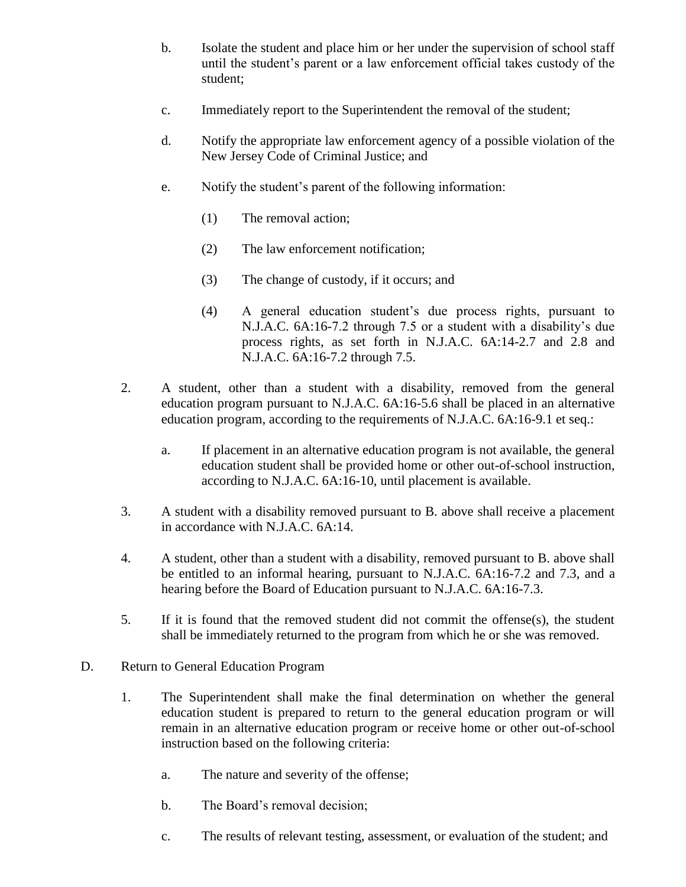- b. Isolate the student and place him or her under the supervision of school staff until the student's parent or a law enforcement official takes custody of the student;
- c. Immediately report to the Superintendent the removal of the student;
- d. Notify the appropriate law enforcement agency of a possible violation of the New Jersey Code of Criminal Justice; and
- e. Notify the student's parent of the following information:
	- (1) The removal action;
	- (2) The law enforcement notification;
	- (3) The change of custody, if it occurs; and
	- (4) A general education student's due process rights, pursuant to N.J.A.C. 6A:16-7.2 through 7.5 or a student with a disability's due process rights, as set forth in N.J.A.C. 6A:14-2.7 and 2.8 and N.J.A.C. 6A:16-7.2 through 7.5.
- 2. A student, other than a student with a disability, removed from the general education program pursuant to N.J.A.C. 6A:16-5.6 shall be placed in an alternative education program, according to the requirements of N.J.A.C. 6A:16-9.1 et seq.:
	- a. If placement in an alternative education program is not available, the general education student shall be provided home or other out-of-school instruction, according to N.J.A.C. 6A:16-10, until placement is available.
- 3. A student with a disability removed pursuant to B. above shall receive a placement in accordance with N.J.A.C. 6A:14.
- 4. A student, other than a student with a disability, removed pursuant to B. above shall be entitled to an informal hearing, pursuant to N.J.A.C. 6A:16-7.2 and 7.3, and a hearing before the Board of Education pursuant to N.J.A.C. 6A:16-7.3.
- 5. If it is found that the removed student did not commit the offense(s), the student shall be immediately returned to the program from which he or she was removed.
- D. Return to General Education Program
	- 1. The Superintendent shall make the final determination on whether the general education student is prepared to return to the general education program or will remain in an alternative education program or receive home or other out-of-school instruction based on the following criteria:
		- a. The nature and severity of the offense;
		- b. The Board's removal decision;
		- c. The results of relevant testing, assessment, or evaluation of the student; and